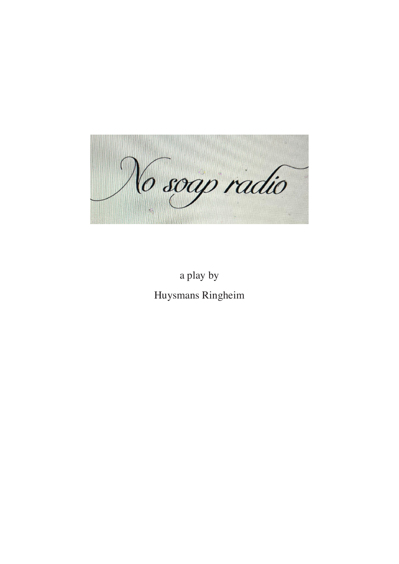

a play by Huysmans Ringheim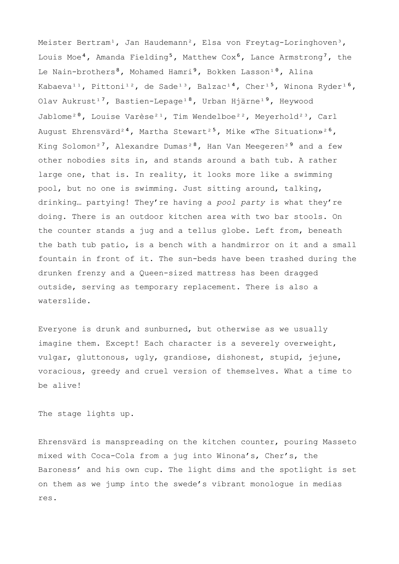Meister Bertram<sup>1</sup>, Jan Haudemann<sup>2</sup>, Elsa von Freytag-Loringhoven<sup>3</sup>, Louis Moe<sup>4</sup>, Amanda Fielding<sup>5</sup>, Matthew Cox<sup>6</sup>, Lance Armstrong<sup>7</sup>, the Le Nain-brothers<sup>8</sup>, Mohamed Hamri<sup>9</sup>, Bokken Lasson<sup>10</sup>, Alina Kabaeva<sup>11</sup>, Pittoni<sup>12</sup>, de Sade<sup>13</sup>, Balzac<sup>14</sup>, Cher<sup>15</sup>, Winona Ryder<sup>16</sup>, Olav Aukrust<sup>17</sup>, Bastien-Lepage<sup>18</sup>, Urban Hjärne<sup>19</sup>, Heywood Jablome<sup>20</sup>, Louise Varèse<sup>21</sup>, Tim Wendelboe<sup>22</sup>, Meyerhold<sup>23</sup>, Carl August Ehrensvärd<sup>24</sup>, Martha Stewart<sup>25</sup>, Mike «The Situation»<sup>26</sup>, King Solomon<sup>27</sup>, Alexandre Dumas<sup>28</sup>, Han Van Meegeren<sup>29</sup> and a few other nobodies sits in, and stands around a bath tub. A rather large one, that is. In reality, it looks more like a swimming pool, but no one is swimming. Just sitting around, talking, drinking… partying! They're having a *pool party* is what they're doing. There is an outdoor kitchen area with two bar stools. On the counter stands a jug and a tellus globe. Left from, beneath the bath tub patio, is a bench with a handmirror on it and a small fountain in front of it. The sun-beds have been trashed during the drunken frenzy and a Queen-sized mattress has been dragged outside, serving as temporary replacement. There is also a waterslide.

Everyone is drunk and sunburned, but otherwise as we usually imagine them. Except! Each character is a severely overweight, vulgar, gluttonous, ugly, grandiose, dishonest, stupid, jejune, voracious, greedy and cruel version of themselves. What a time to be alive!

The stage lights up.

Ehrensvärd is manspreading on the kitchen counter, pouring Masseto mixed with Coca-Cola from a jug into Winona's, Cher's, the Baroness' and his own cup. The light dims and the spotlight is set on them as we jump into the swede's vibrant monologue in medias res.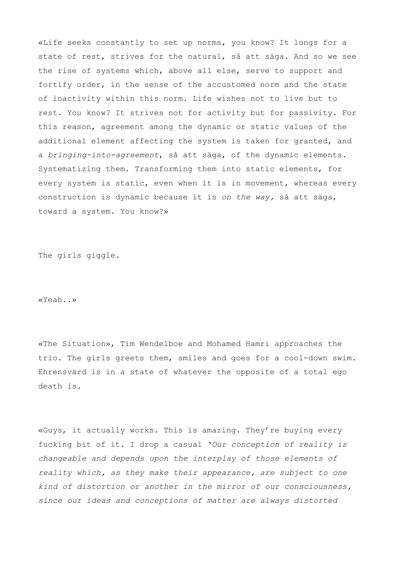«Life seeks constantly to set up norms, you know? It longs for a state of rest, strives for the natural, så att säga. And so we see the rise of systems which, above all else, serve to support and fortify order, in the sense of the accustomed norm and the state of inactivity within this norm. Life wishes not to live but to rest. You know? It strives not for activity but for passivity. For this reason, agreement among the dynamic or static values of the additional element affecting the system is taken for granted, and a *bringing-into-agreement*, så att säga, of the dynamic elements. Systematizing them. Transforming them into static elements, for every system is static, even when it is in movement, whereas every construction is dynamic because it is *on the way,* så att säga, toward a system. You know?»

The girls giggle.

«Yeah..»

«The Situation», Tim Wendelboe and Mohamed Hamri approaches the trio. The girls greets them, smiles and goes for a cool-down swim. Ehrensvärd is in a state of whatever the opposite of a total ego death is.

«Guys, it actually works. This is amazing. They're buying every fucking bit of it. I drop a casual '*Our conception of reality is changeable and depends upon the interplay of those elements of reality which, as they make their appearance, are subject to one kind of distortion or another in the mirror of our consciousness, since our ideas and conceptions of matter are always distorted*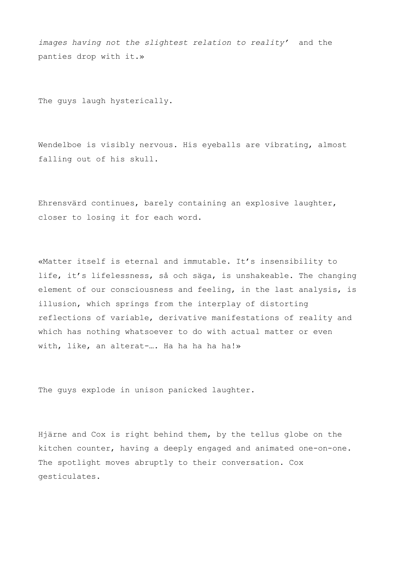*images having not the slightest relation to reality'* and the panties drop with it.»

The guys laugh hysterically.

Wendelboe is visibly nervous. His eyeballs are vibrating, almost falling out of his skull.

Ehrensvärd continues, barely containing an explosive laughter, closer to losing it for each word.

«Matter itself is eternal and immutable. It's insensibility to life, it's lifelessness, så och säga, is unshakeable. The changing element of our consciousness and feeling, in the last analysis, is illusion, which springs from the interplay of distorting reflections of variable, derivative manifestations of reality and which has nothing whatsoever to do with actual matter or even with, like, an alterat-.... Ha ha ha ha ha!»

The guys explode in unison panicked laughter.

Hjärne and Cox is right behind them, by the tellus globe on the kitchen counter, having a deeply engaged and animated one-on-one. The spotlight moves abruptly to their conversation. Cox gesticulates.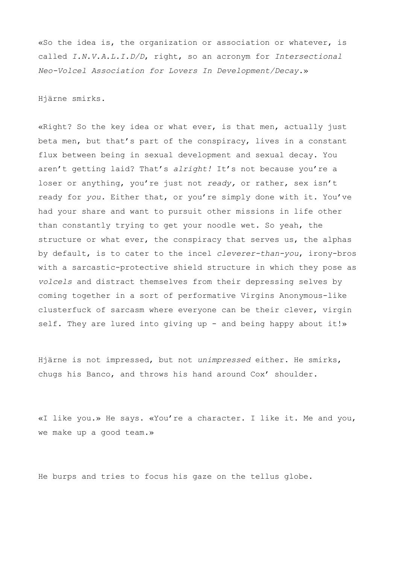«So the idea is, the organization or association or whatever, is called *I.N.V.A.L.I.D/D*, right, so an acronym for *Intersectional Neo-Volcel Association for Lovers In Development/Decay*.»

Hjärne smirks.

«Right? So the key idea or what ever, is that men, actually just beta men, but that's part of the conspiracy, lives in a constant flux between being in sexual development and sexual decay. You aren't getting laid? That's *alright!* It's not because you're a loser or anything, you're just not *ready,* or rather, sex isn't ready for *you.* Either that, or you're simply done with it. You've had your share and want to pursuit other missions in life other than constantly trying to get your noodle wet. So yeah, the structure or what ever, the conspiracy that serves us, the alphas by default, is to cater to the incel *cleverer-than-you*, irony-bros with a sarcastic-protective shield structure in which they pose as *volcels* and distract themselves from their depressing selves by coming together in a sort of performative Virgins Anonymous-like clusterfuck of sarcasm where everyone can be their clever, virgin self. They are lured into giving up - and being happy about it!»

Hjärne is not impressed, but not *unimpressed* either. He smirks, chugs his Banco, and throws his hand around Cox' shoulder.

«I like you.» He says. «You're a character. I like it. Me and you, we make up a good team.»

He burps and tries to focus his gaze on the tellus globe.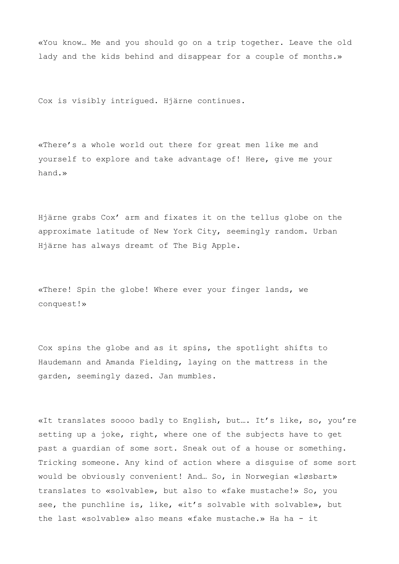«You know… Me and you should go on a trip together. Leave the old lady and the kids behind and disappear for a couple of months.»

Cox is visibly intrigued. Hjärne continues.

«There's a whole world out there for great men like me and yourself to explore and take advantage of! Here, give me your hand.»

Hjärne grabs Cox' arm and fixates it on the tellus globe on the approximate latitude of New York City, seemingly random. Urban Hjärne has always dreamt of The Big Apple.

«There! Spin the globe! Where ever your finger lands, we conquest!»

Cox spins the globe and as it spins, the spotlight shifts to Haudemann and Amanda Fielding, laying on the mattress in the garden, seemingly dazed. Jan mumbles.

«It translates soooo badly to English, but…. It's like, so, you're setting up a joke, right, where one of the subjects have to get past a guardian of some sort. Sneak out of a house or something. Tricking someone. Any kind of action where a disguise of some sort would be obviously convenient! And… So, in Norwegian «løsbart» translates to «solvable», but also to «fake mustache!» So, you see, the punchline is, like, «it's solvable with solvable», but the last «solvable» also means «fake mustache.» Ha ha - it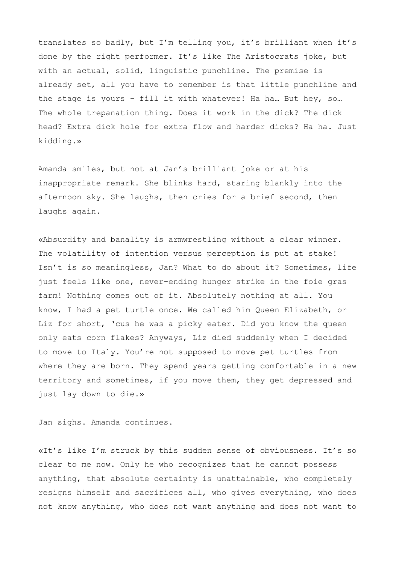translates so badly, but I'm telling you, it's brilliant when it's done by the right performer. It's like The Aristocrats joke, but with an actual, solid, linguistic punchline. The premise is already set, all you have to remember is that little punchline and the stage is yours - fill it with whatever! Ha ha… But hey, so… The whole trepanation thing. Does it work in the dick? The dick head? Extra dick hole for extra flow and harder dicks? Ha ha. Just kidding.»

Amanda smiles, but not at Jan's brilliant joke or at his inappropriate remark. She blinks hard, staring blankly into the afternoon sky. She laughs, then cries for a brief second, then laughs again.

«Absurdity and banality is armwrestling without a clear winner. The volatility of intention versus perception is put at stake! Isn't is so meaningless, Jan? What to do about it? Sometimes, life just feels like one, never-ending hunger strike in the foie gras farm! Nothing comes out of it. Absolutely nothing at all. You know, I had a pet turtle once. We called him Queen Elizabeth, or Liz for short, 'cus he was a picky eater. Did you know the queen only eats corn flakes? Anyways, Liz died suddenly when I decided to move to Italy. You're not supposed to move pet turtles from where they are born. They spend years getting comfortable in a new territory and sometimes, if you move them, they get depressed and just lay down to die.»

Jan sighs. Amanda continues.

«It's like I'm struck by this sudden sense of obviousness. It's so clear to me now. Only he who recognizes that he cannot possess anything, that absolute certainty is unattainable, who completely resigns himself and sacrifices all, who gives everything, who does not know anything, who does not want anything and does not want to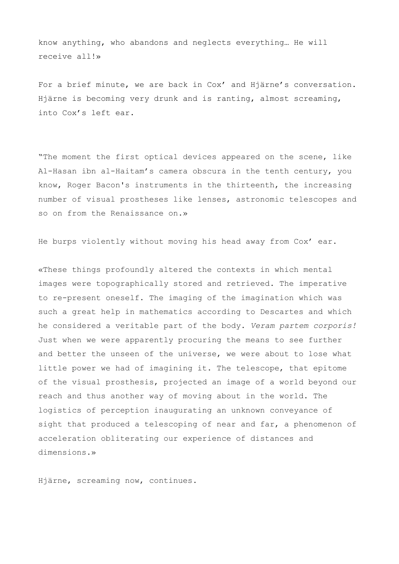know anything, who abandons and neglects everything… He will receive all!»

For a brief minute, we are back in Cox' and Hjärne's conversation. Hjärne is becoming very drunk and is ranting, almost screaming, into Cox's left ear.

"The moment the first optical devices appeared on the scene, like Al-Hasan ibn al-Haitam's camera obscura in the tenth century, you know, Roger Bacon's instruments in the thirteenth, the increasing number of visual prostheses like lenses, astronomic telescopes and so on from the Renaissance on.»

He burps violently without moving his head away from Cox' ear.

«These things profoundly altered the contexts in which mental images were topographically stored and retrieved. The imperative to re-present oneself. The imaging of the imagination which was such a great help in mathematics according to Descartes and which he considered a veritable part of the body. *Veram partem corporis!* Just when we were apparently procuring the means to see further and better the unseen of the universe, we were about to lose what little power we had of imagining it. The telescope, that epitome of the visual prosthesis, projected an image of a world beyond our reach and thus another way of moving about in the world. The logistics of perception inaugurating an unknown conveyance of sight that produced a telescoping of near and far, a phenomenon of acceleration obliterating our experience of distances and dimensions.»

Hjärne, screaming now, continues.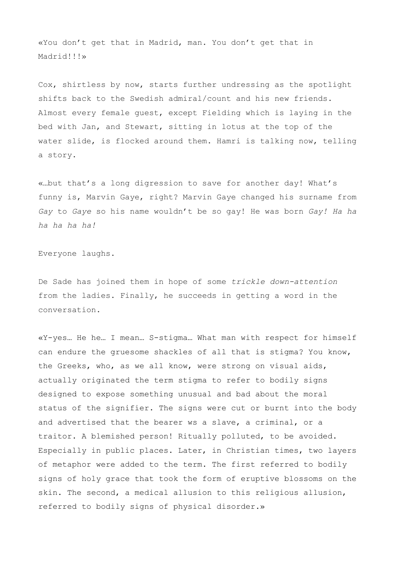«You don't get that in Madrid, man. You don't get that in Madrid!!!»

Cox, shirtless by now, starts further undressing as the spotlight shifts back to the Swedish admiral/count and his new friends. Almost every female guest, except Fielding which is laying in the bed with Jan, and Stewart, sitting in lotus at the top of the water slide, is flocked around them. Hamri is talking now, telling a story.

«…but that's a long digression to save for another day! What's funny is, Marvin Gaye, right? Marvin Gaye changed his surname from *Gay* to *Gaye* so his name wouldn't be so gay! He was born *Gay! Ha ha ha ha ha ha!*

Everyone laughs.

De Sade has joined them in hope of some *trickle down-attention* from the ladies. Finally, he succeeds in getting a word in the conversation.

«Y-yes… He he… I mean… S-stigma… What man with respect for himself can endure the gruesome shackles of all that is stigma? You know, the Greeks, who, as we all know, were strong on visual aids, actually originated the term stigma to refer to bodily signs designed to expose something unusual and bad about the moral status of the signifier. The signs were cut or burnt into the body and advertised that the bearer ws a slave, a criminal, or a traitor. A blemished person! Ritually polluted, to be avoided. Especially in public places. Later, in Christian times, two layers of metaphor were added to the term. The first referred to bodily signs of holy grace that took the form of eruptive blossoms on the skin. The second, a medical allusion to this religious allusion, referred to bodily signs of physical disorder.»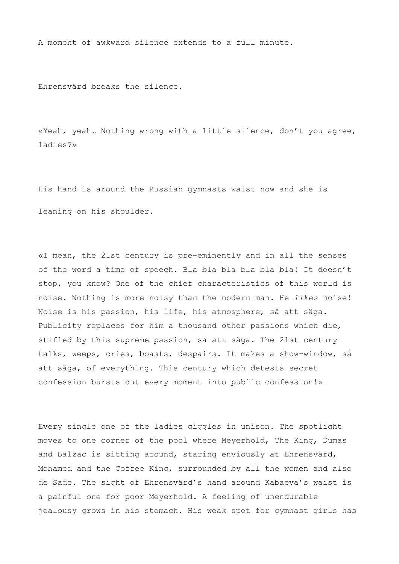A moment of awkward silence extends to a full minute.

Ehrensvärd breaks the silence.

«Yeah, yeah… Nothing wrong with a little silence, don't you agree, ladies?»

His hand is around the Russian gymnasts waist now and she is leaning on his shoulder.

«I mean, the 21st century is pre-eminently and in all the senses of the word a time of speech. Bla bla bla bla bla bla! It doesn't stop, you know? One of the chief characteristics of this world is noise. Nothing is more noisy than the modern man. He *likes* noise! Noise is his passion, his life, his atmosphere, så att säga. Publicity replaces for him a thousand other passions which die, stifled by this supreme passion, så att säga. The 21st century talks, weeps, cries, boasts, despairs. It makes a show-window, så att säga, of everything. This century which detests secret confession bursts out every moment into public confession!»

Every single one of the ladies giggles in unison. The spotlight moves to one corner of the pool where Meyerhold, The King, Dumas and Balzac is sitting around, staring enviously at Ehrensvärd, Mohamed and the Coffee King, surrounded by all the women and also de Sade. The sight of Ehrensvärd's hand around Kabaeva's waist is a painful one for poor Meyerhold. A feeling of unendurable jealousy grows in his stomach. His weak spot for gymnast girls has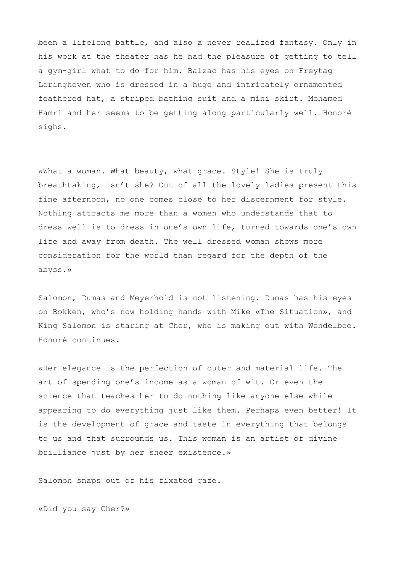been a lifelong battle, and also a never realized fantasy. Only in his work at the theater has he had the pleasure of getting to tell a gym-girl what to do for him. Balzac has his eyes on Freytag Loringhoven who is dressed in a huge and intricately ornamented feathered hat, a striped bathing suit and a mini skirt. Mohamed Hamri and her seems to be getting along particularly well. Honoré sighs.

«What a woman. What beauty, what grace. Style! She is truly breathtaking, isn't she? Out of all the lovely ladies present this fine afternoon, no one comes close to her discernment for style. Nothing attracts me more than a women who understands that to dress well is to dress in one's own life, turned towards one's own life and away from death. The well dressed woman shows more consideration for the world than regard for the depth of the abyss.»

Salomon, Dumas and Meyerhold is not listening. Dumas has his eyes on Bokken, who's now holding hands with Mike «The Situation», and King Salomon is staring at Cher, who is making out with Wendelboe. Honoré continues.

«Her elegance is the perfection of outer and material life. The art of spending one's income as a woman of wit. Or even the science that teaches her to do nothing like anyone else while appearing to do everything just like them. Perhaps even better! It is the development of grace and taste in everything that belongs to us and that surrounds us. This woman is an artist of divine brilliance just by her sheer existence.»

Salomon snaps out of his fixated gaze.

«Did you say Cher?»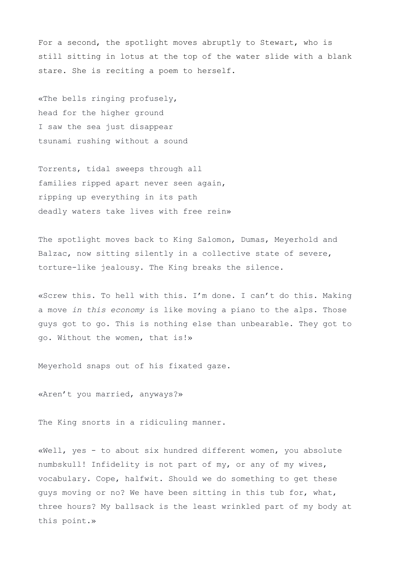For a second, the spotlight moves abruptly to Stewart, who is still sitting in lotus at the top of the water slide with a blank stare. She is reciting a poem to herself.

«The bells ringing profusely, head for the higher ground I saw the sea just disappear tsunami rushing without a sound

Torrents, tidal sweeps through all families ripped apart never seen again, ripping up everything in its path deadly waters take lives with free rein»

The spotlight moves back to King Salomon, Dumas, Meyerhold and Balzac, now sitting silently in a collective state of severe, torture-like jealousy. The King breaks the silence.

«Screw this. To hell with this. I'm done. I can't do this. Making a move *in this economy* is like moving a piano to the alps. Those guys got to go. This is nothing else than unbearable. They got to go. Without the women, that is!»

Meyerhold snaps out of his fixated gaze.

«Aren't you married, anyways?»

The King snorts in a ridiculing manner.

«Well, yes - to about six hundred different women, you absolute numbskull! Infidelity is not part of my, or any of my wives, vocabulary. Cope, halfwit. Should we do something to get these guys moving or no? We have been sitting in this tub for, what, three hours? My ballsack is the least wrinkled part of my body at this point.»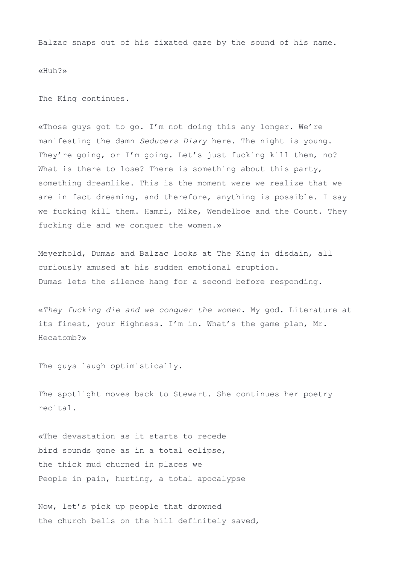Balzac snaps out of his fixated gaze by the sound of his name.

«Huh?»

The King continues.

«Those guys got to go. I'm not doing this any longer. We're manifesting the damn *Seducers Diary* here. The night is young. They're going, or I'm going. Let's just fucking kill them, no? What is there to lose? There is something about this party, something dreamlike. This is the moment were we realize that we are in fact dreaming, and therefore, anything is possible. I say we fucking kill them. Hamri, Mike, Wendelboe and the Count. They fucking die and we conquer the women.»

Meyerhold, Dumas and Balzac looks at The King in disdain, all curiously amused at his sudden emotional eruption. Dumas lets the silence hang for a second before responding.

«*They fucking die and we conquer the women.* My god. Literature at its finest, your Highness. I'm in. What's the game plan, Mr. Hecatomb?»

The guys laugh optimistically.

The spotlight moves back to Stewart. She continues her poetry recital.

«The devastation as it starts to recede bird sounds gone as in a total eclipse, the thick mud churned in places we People in pain, hurting, a total apocalypse

Now, let's pick up people that drowned the church bells on the hill definitely saved,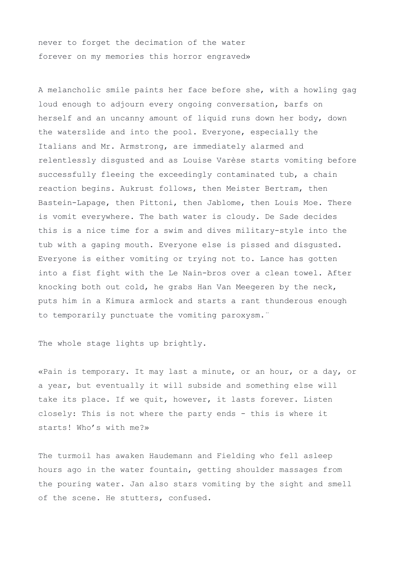never to forget the decimation of the water forever on my memories this horror engraved»

A melancholic smile paints her face before she, with a howling gag loud enough to adjourn every ongoing conversation, barfs on herself and an uncanny amount of liquid runs down her body, down the waterslide and into the pool. Everyone, especially the Italians and Mr. Armstrong, are immediately alarmed and relentlessly disgusted and as Louise Varèse starts vomiting before successfully fleeing the exceedingly contaminated tub, a chain reaction begins. Aukrust follows, then Meister Bertram, then Bastein-Lapage, then Pittoni, then Jablome, then Louis Moe. There is vomit everywhere. The bath water is cloudy. De Sade decides this is a nice time for a swim and dives military-style into the tub with a gaping mouth. Everyone else is pissed and disgusted. Everyone is either vomiting or trying not to. Lance has gotten into a fist fight with the Le Nain-bros over a clean towel. After knocking both out cold, he grabs Han Van Meegeren by the neck, puts him in a Kimura armlock and starts a rant thunderous enough to temporarily punctuate the vomiting paroxysm.¨

The whole stage lights up brightly.

«Pain is temporary. It may last a minute, or an hour, or a day, or a year, but eventually it will subside and something else will take its place. If we quit, however, it lasts forever. Listen closely: This is not where the party ends - this is where it starts! Who's with me?»

The turmoil has awaken Haudemann and Fielding who fell asleep hours ago in the water fountain, getting shoulder massages from the pouring water. Jan also stars vomiting by the sight and smell of the scene. He stutters, confused.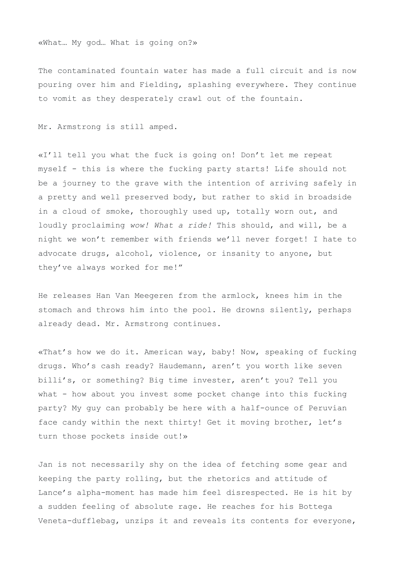«What… My god… What is going on?»

The contaminated fountain water has made a full circuit and is now pouring over him and Fielding, splashing everywhere. They continue to vomit as they desperately crawl out of the fountain.

Mr. Armstrong is still amped.

«I'll tell you what the fuck is going on! Don't let me repeat myself - this is where the fucking party starts! Life should not be a journey to the grave with the intention of arriving safely in a pretty and well preserved body, but rather to skid in broadside in a cloud of smoke, thoroughly used up, totally worn out, and loudly proclaiming *wow! What a ride!* This should, and will, be a night we won't remember with friends we'll never forget! I hate to advocate drugs, alcohol, violence, or insanity to anyone, but they've always worked for me!"

He releases Han Van Meegeren from the armlock, knees him in the stomach and throws him into the pool. He drowns silently, perhaps already dead. Mr. Armstrong continues.

«That's how we do it. American way, baby! Now, speaking of fucking drugs. Who's cash ready? Haudemann, aren't you worth like seven billi's, or something? Big time invester, aren't you? Tell you what - how about you invest some pocket change into this fucking party? My guy can probably be here with a half-ounce of Peruvian face candy within the next thirty! Get it moving brother, let's turn those pockets inside out!»

Jan is not necessarily shy on the idea of fetching some gear and keeping the party rolling, but the rhetorics and attitude of Lance's alpha-moment has made him feel disrespected. He is hit by a sudden feeling of absolute rage. He reaches for his Bottega Veneta-dufflebag, unzips it and reveals its contents for everyone,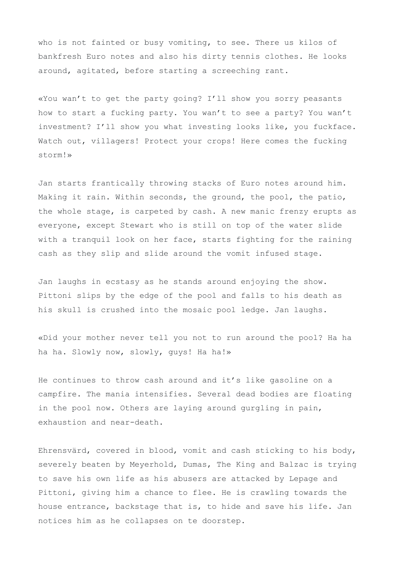who is not fainted or busy vomiting, to see. There us kilos of bankfresh Euro notes and also his dirty tennis clothes. He looks around, agitated, before starting a screeching rant.

«You wan't to get the party going? I'll show you sorry peasants how to start a fucking party. You wan't to see a party? You wan't investment? I'll show you what investing looks like, you fuckface. Watch out, villagers! Protect your crops! Here comes the fucking storm!»

Jan starts frantically throwing stacks of Euro notes around him. Making it rain. Within seconds, the ground, the pool, the patio, the whole stage, is carpeted by cash. A new manic frenzy erupts as everyone, except Stewart who is still on top of the water slide with a tranquil look on her face, starts fighting for the raining cash as they slip and slide around the vomit infused stage.

Jan laughs in ecstasy as he stands around enjoying the show. Pittoni slips by the edge of the pool and falls to his death as his skull is crushed into the mosaic pool ledge. Jan laughs.

«Did your mother never tell you not to run around the pool? Ha ha ha ha. Slowly now, slowly, guys! Ha ha!»

He continues to throw cash around and it's like gasoline on a campfire. The mania intensifies. Several dead bodies are floating in the pool now. Others are laying around gurgling in pain, exhaustion and near-death.

Ehrensvärd, covered in blood, vomit and cash sticking to his body, severely beaten by Meyerhold, Dumas, The King and Balzac is trying to save his own life as his abusers are attacked by Lepage and Pittoni, giving him a chance to flee. He is crawling towards the house entrance, backstage that is, to hide and save his life. Jan notices him as he collapses on te doorstep.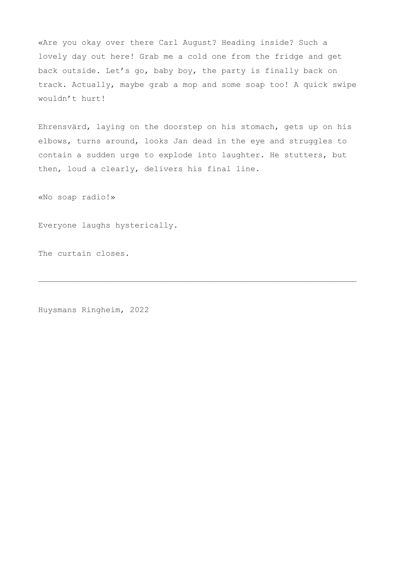«Are you okay over there Carl August? Heading inside? Such a lovely day out here! Grab me a cold one from the fridge and get back outside. Let's go, baby boy, the party is finally back on track. Actually, maybe grab a mop and some soap too! A quick swipe wouldn't hurt!

Ehrensvärd, laying on the doorstep on his stomach, gets up on his elbows, turns around, looks Jan dead in the eye and struggles to contain a sudden urge to explode into laughter. He stutters, but then, loud a clearly, delivers his final line.

——————————————————————————————————————————————————————————————————

«No soap radio!»

Everyone laughs hysterically.

The curtain closes.

Huysmans Ringheim, 2022